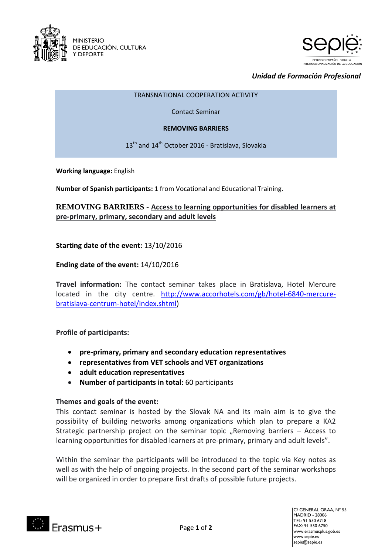



# *Unidad de Formación Profesional*

#### TRANSNATIONAL COOPERATION ACTIVITY

Contact Seminar

#### **REMOVING BARRIERS**

13<sup>th</sup> and 14<sup>th</sup> October 2016 - Bratislava, Slovakia

**Working language:** English

**Number of Spanish participants:** 1 from Vocational and Educational Training.

# **REMOVING BARRIERS** - **Access to learning opportunities for disabled learners at pre-primary, primary, secondary and adult levels**

## **Starting date of the event:** 13/10/2016

## **Ending date of the event:** 14/10/2016

**Travel information:** The contact seminar takes place in Bratislava, Hotel Mercure located in the city centre. [http://www.accorhotels.com/gb/hotel-6840-mercure](http://www.accorhotels.com/gb/hotel-6840-mercure-bratislava-centrum-hotel/index.shtml)[bratislava-centrum-hotel/index.shtml\)](http://www.accorhotels.com/gb/hotel-6840-mercure-bratislava-centrum-hotel/index.shtml)

### **Profile of participants:**

- **pre-primary, primary and secondary education representatives**
- **representatives from VET schools and VET organizations**
- **adult education representatives**
- **Number of participants in total:** 60 participants

### **Themes and goals of the event:**

This contact seminar is hosted by the Slovak NA and its main aim is to give the possibility of building networks among organizations which plan to prepare a KA2 Strategic partnership project on the seminar topic "Removing barriers  $-$  Access to learning opportunities for disabled learners at pre-primary, primary and adult levels".

Within the seminar the participants will be introduced to the topic via Key notes as well as with the help of ongoing projects. In the second part of the seminar workshops will be organized in order to prepare first drafts of possible future projects.